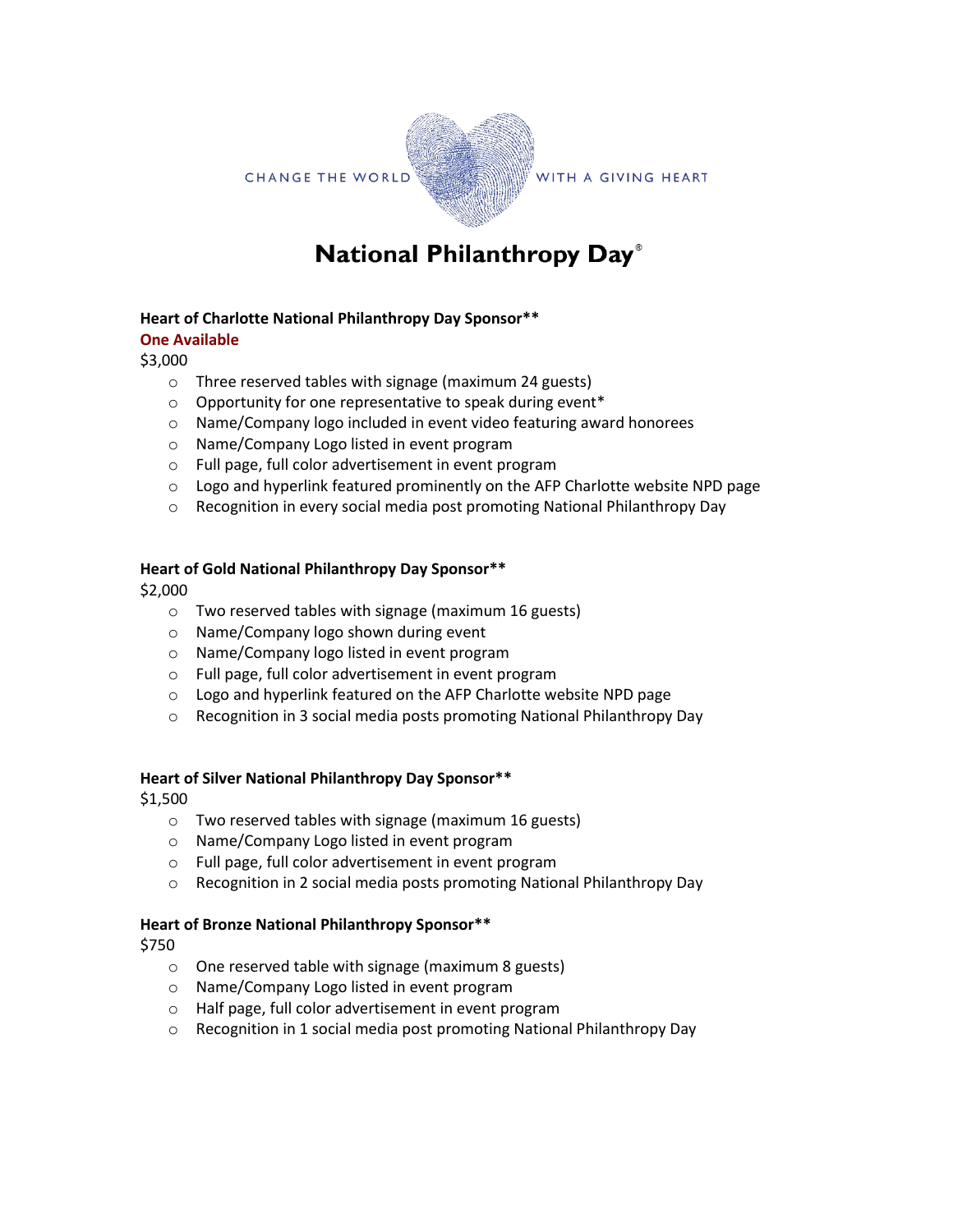**CHANGE THE WORLD** 



WITH A GIVING HEART

# National Philanthropy Day®

#### **Heart of Charlotte National Philanthropy Day Sponsor\*\***

#### **One Available**

\$3,000

- o Three reserved tables with signage (maximum 24 guests)
- o Opportunity for one representative to speak during event\*
- o Name/Company logo included in event video featuring award honorees
- o Name/Company Logo listed in event program
- o Full page, full color advertisement in event program
- o Logo and hyperlink featured prominently on the AFP Charlotte website NPD page
- $\circ$  Recognition in every social media post promoting National Philanthropy Day

## **Heart of Gold National Philanthropy Day Sponsor\*\***

\$2,000

- o Two reserved tables with signage (maximum 16 guests)
- o Name/Company logo shown during event
- o Name/Company logo listed in event program
- o Full page, full color advertisement in event program
- o Logo and hyperlink featured on the AFP Charlotte website NPD page
- o Recognition in 3 social media posts promoting National Philanthropy Day

#### **Heart of Silver National Philanthropy Day Sponsor\*\***

\$1,500

- o Two reserved tables with signage (maximum 16 guests)
- o Name/Company Logo listed in event program
- o Full page, full color advertisement in event program
- o Recognition in 2 social media posts promoting National Philanthropy Day

#### **Heart of Bronze National Philanthropy Sponsor\*\***

\$750

- o One reserved table with signage (maximum 8 guests)
- o Name/Company Logo listed in event program
- o Half page, full color advertisement in event program
- o Recognition in 1 social media post promoting National Philanthropy Day